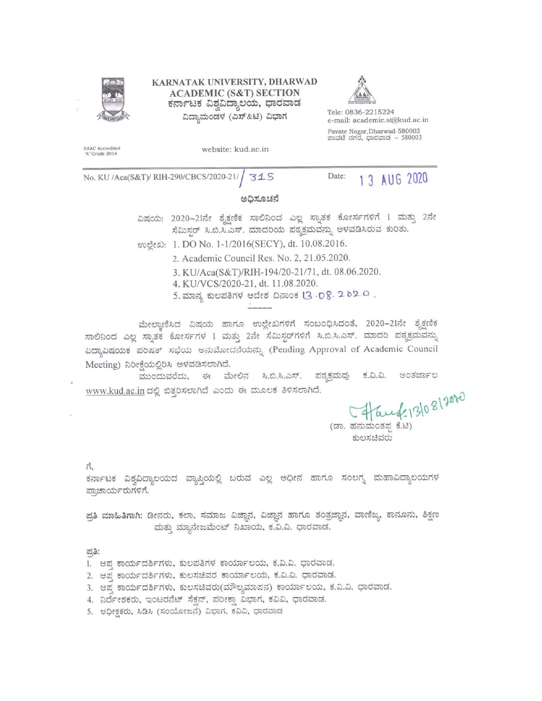

KARNATAK UNIVERSITY, DHARWAD **ACADEMIC (S&T) SECTION** ಕರ್ನಾಟಕ ವಿಶ್ವವಿದ್ಯಾಲಯ, ಧಾರವಾಡ ವಿದ್ಯಾಮಂಡಳ (ಎಸ್&ಟಿ) ವಿಭಾಗ



Tele: 0836-2215224 e-mail: academic.st@kud.ac.in Pavate Nagar, Dharwad-580003 ಪಾವಟೆ ನಗರ, ಧಾರವಾಡ – 580003

NAAC Accredited<br>'A' Grade 2014

website: kud.ac.in

No. KU /Aca(S&T)/ RIH-290/CBCS/2020-21/ 315

Date: 1 3 AUG 2020

#### ಅಧಿಸೂಚನೆ

ವಿಷಯ: 2020-21ನೇ ಶೈಕ್ಷಣಿಕ ಸಾಲಿನಿಂದ ಎಲ್ಲ ಸ್ನಾತಕ ಕೋರ್ಸಗಳಿಗೆ 1 ಮತ್ತು 2ನೇ ಸೆಮಿಸ್ಟರ್ ಸಿ.ಬಿ.ಸಿ.ಎಸ್. ಮಾದರಿಯ ಪಠ್ಯಕ್ರಮವನ್ನು ಅಳವಡಿಸಿರುವ ಕುರಿತು.

eveca: 1. DO No. 1-1/2016(SECY), dt. 10.08.2016.

- 2. Academic Council Res. No. 2, 21.05.2020.
- 3. KU/Aca(S&T)/RIH-194/20-21/71, dt. 08.06.2020.
- 4. KU/VCS/2020-21, dt. 11.08.2020.
- 5. ಮಾನ್ಯ ಕುಲಪತಿಗಳ ಆದೇಶ ದಿನಾಂಕ 13 . D 8. 2 0 2. 0.

ಮೇಲ್ಪಾಣಿಸಿದ ವಿಷಯ ಹಾಗೂ ಉಲ್ಲೇಖಗಳಿಗೆ ಸಂಬಂಧಿಸಿದಂತೆ, 2020–21ನೇ ಶೈಕ್ಷಣಿಕ ಸಾಲಿನಿಂದ ಎಲ್ಲ ಸ್ನಾತಕ ಕೋರ್ಸಗಳ 1 ಮತ್ತು 2ನೇ ಸೆಮಿಸ್ಟರ್ಗಳಿಗೆ ಸಿ.ಬಿ.ಸಿ.ಎಸ್. ಮಾದರಿ ಪಠ್ಮಕ್ರಮವನ್ನು ವಿದ್ಯಾವಿಷಯಕ ಪರಿಷತ್ ಸಭೆಯ ಅನುಮೋದನೆಯನ್ನು (Pending Approval of Academic Council Meeting) ನಿರೀಕೆಯಲ್ಲಿರಿಸಿ ಅಳವಡಿಸಲಾಗಿದೆ.

ಮುಂದುವರೆದು, ಈ ಮೇಲಿನ ಸಿ.ಬಿ.ಸಿ.ಎಸ್. ಪಠ್ಯಕ್ರಮವು ಅಂತರ್ಜಾಲ ಕ.ವಿ.ವಿ. www.kud.ac.in ದಲ್ಲಿ ಬಿತ್ತರಿಸಲಾಗಿದೆ ಎಂದು ಈ ಮೂಲಕ ತಿಳಿಸಲಾಗಿದೆ.

ed=13/08/2020

(ಡಾ. ಹನುಮಂತಪ ಕೆ.ಟಿ) ಕುಲಸಚಿವರು

ಗೆ,

ಕರ್ನಾಟಕ ವಿಶ್ವವಿದ್ಯಾಲಯದ ವ್ಯಾಪ್ತಿಯಲ್ಲಿ ಬರುವ ಎಲ್ಲ ಅಧೀನ ಹಾಗೂ ಸಂಲಗ್ಯ ಮಹಾವಿದ್ಯಾಲಯಗಳ ಪ್ರಾಚಾರ್ಯರುಗಳಿಗೆ.

ಪ್ರತಿ ಮಾಹಿತಿಗಾಗಿ: ಡೀನರು, ಕಲಾ, ಸಮಾಜ ವಿಜ್ಞಾನ, ವಿಜ್ಞಾನ ಹಾಗೂ ತಂತ್ರಜ್ಞಾನ, ವಾಣಿಜ್ಯ, ಕಾನೂನು, ಶಿಕ್ಷಣ ಮತ್ತು ಮ್ಯಾನೇಜಮೆಂಟ್ ನಿಖಾಯ, ಕ.ವಿ.ವಿ. ಧಾರವಾಡ.

ಪತಿ:

- 1. ಆಪ್ತ ಕಾರ್ಯದರ್ಶಿಗಳು, ಕುಲಪತಿಗಳ ಕಾರ್ಯಾಲಯ, ಕ.ವಿ.ವಿ. ಧಾರವಾಡ.
- 2. ಆಪ್ತ ಕಾರ್ಯದರ್ಶಿಗಳು, ಕುಲಸಚಿವರ ಕಾರ್ಯಾಲಯ, ಕ.ವಿ.ವಿ. ಧಾರವಾಡ.
- 3. ಆಪ್ತ ಕಾರ್ಯದರ್ಶಿಗಳು, ಕುಲಸಚಿವರು(ಮೌಲ್ಯಮಾಪನ) ಕಾರ್ಯಾಲಯ, ಕ.ವಿ.ವಿ. ಧಾರವಾಡ.
- 4. ನಿರ್ದೇಶಕರು, ಇಂಟರನೆಟ್ ಸೆಕ್ಷನ್, ಪರೀಕ್ಷಾ ವಿಭಾಗ, ಕವಿವಿ, ಧಾರವಾಡ.
- 5. ಅಧೀಕ್ಷಕರು, ಸಿಡಿಸಿ (ಸಂಯೋಜನೆ) ವಿಭಾಗ, ಕವಿವಿ, ಧಾರವಾಡ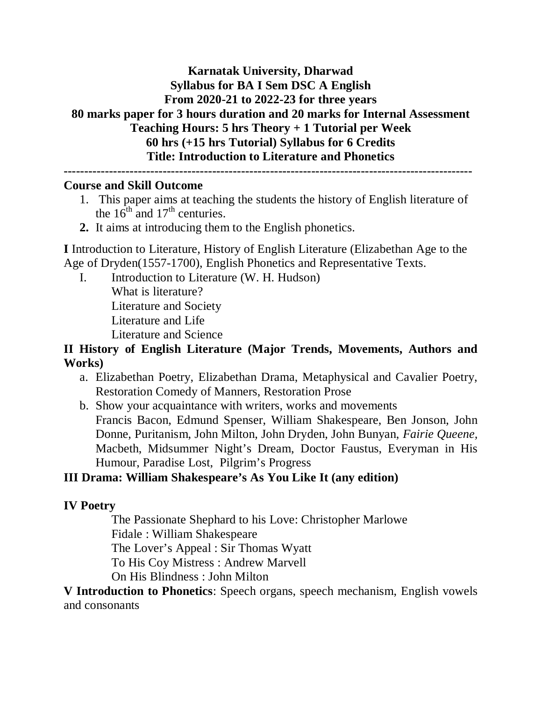### **Karnatak University, Dharwad Syllabus for BA I Sem DSC A English From 2020-21 to 2022-23 for three years 80 marks paper for 3 hours duration and 20 marks for Internal Assessment Teaching Hours: 5 hrs Theory + 1 Tutorial per Week 60 hrs (+15 hrs Tutorial) Syllabus for 6 Credits Title: Introduction to Literature and Phonetics ---------------------------------------------------------------------------------------------------**

#### **Course and Skill Outcome**

- 1. This paper aims at teaching the students the history of English literature of the  $16^{\text{th}}$  and  $17^{\text{th}}$  centuries.
- **2.** It aims at introducing them to the English phonetics.

**I** Introduction to Literature, History of English Literature (Elizabethan Age to the Age of Dryden(1557-1700), English Phonetics and Representative Texts.

I. Introduction to Literature (W. H. Hudson) What is literature?

Literature and Society Literature and Life

Literature and Science

**II History of English Literature (Major Trends, Movements, Authors and Works)**

- a. Elizabethan Poetry, Elizabethan Drama, Metaphysical and Cavalier Poetry, Restoration Comedy of Manners, Restoration Prose
- b. Show your acquaintance with writers, works and movements Francis Bacon, Edmund Spenser, William Shakespeare, Ben Jonson, John Donne, Puritanism, John Milton, John Dryden, John Bunyan, *Fairie Queene,* Macbeth, Midsummer Night's Dream, Doctor Faustus, Everyman in His Humour, Paradise Lost, Pilgrim's Progress

### **III Drama: William Shakespeare's As You Like It (any edition)**

#### **IV Poetry**

The Passionate Shephard to his Love: Christopher Marlowe Fidale : William Shakespeare The Lover's Appeal : Sir Thomas Wyatt

To His Coy Mistress : Andrew Marvell

On His Blindness : John Milton

**V Introduction to Phonetics**: Speech organs, speech mechanism, English vowels and consonants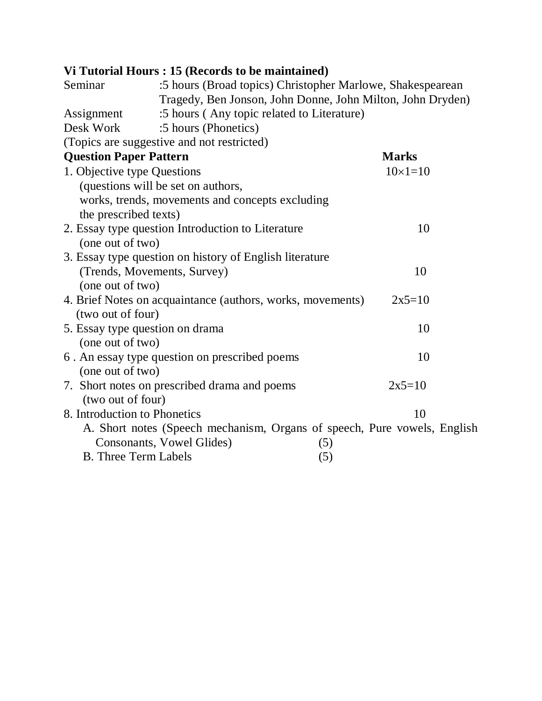# **Vi Tutorial Hours : 15 (Records to be maintained)**

| Seminar                         | :5 hours (Broad topics) Christopher Marlowe, Shakespearean               |                |  |
|---------------------------------|--------------------------------------------------------------------------|----------------|--|
|                                 | Tragedy, Ben Jonson, John Donne, John Milton, John Dryden)               |                |  |
| Assignment                      | :5 hours (Any topic related to Literature)                               |                |  |
| Desk Work                       | :5 hours (Phonetics)                                                     |                |  |
|                                 | (Topics are suggestive and not restricted)                               |                |  |
| <b>Question Paper Pattern</b>   |                                                                          | <b>Marks</b>   |  |
| 1. Objective type Questions     |                                                                          | $10\times1=10$ |  |
|                                 | (questions will be set on authors,                                       |                |  |
|                                 | works, trends, movements and concepts excluding                          |                |  |
| the prescribed texts)           |                                                                          |                |  |
|                                 | 2. Essay type question Introduction to Literature                        | 10             |  |
| (one out of two)                |                                                                          |                |  |
|                                 | 3. Essay type question on history of English literature                  |                |  |
| (Trends, Movements, Survey)     |                                                                          | 10             |  |
| (one out of two)                |                                                                          |                |  |
|                                 | 4. Brief Notes on acquaintance (authors, works, movements)               | $2x5=10$       |  |
| (two out of four)               |                                                                          |                |  |
| 5. Essay type question on drama |                                                                          | 10             |  |
| (one out of two)                |                                                                          |                |  |
|                                 | 6. An essay type question on prescribed poems                            | 10             |  |
| (one out of two)                |                                                                          |                |  |
|                                 | 7. Short notes on prescribed drama and poems                             | $2x5=10$       |  |
| (two out of four)               |                                                                          |                |  |
| 8. Introduction to Phonetics    |                                                                          | 10             |  |
|                                 | A. Short notes (Speech mechanism, Organs of speech, Pure vowels, English |                |  |
|                                 | Consonants, Vowel Glides)<br>(5)                                         |                |  |
| <b>B.</b> Three Term Labels     | (5)                                                                      |                |  |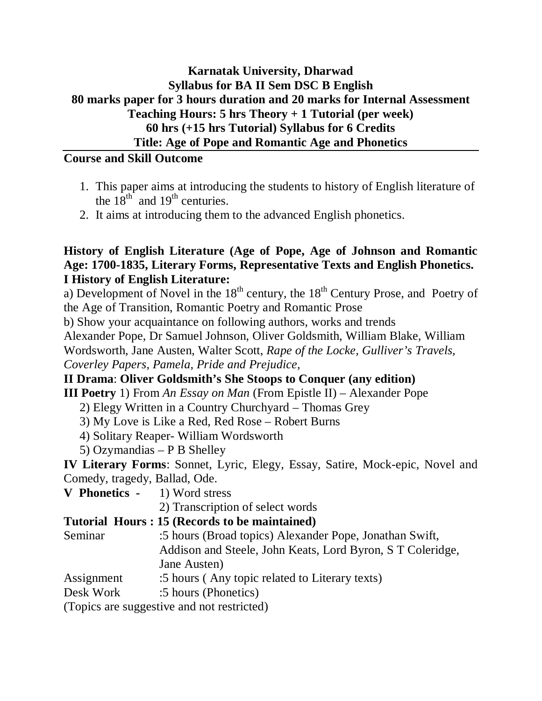## **Karnatak University, Dharwad Syllabus for BA II Sem DSC B English 80 marks paper for 3 hours duration and 20 marks for Internal Assessment Teaching Hours: 5 hrs Theory + 1 Tutorial (per week) 60 hrs (+15 hrs Tutorial) Syllabus for 6 Credits Title: Age of Pope and Romantic Age and Phonetics**

## **Course and Skill Outcome**

- 1. This paper aims at introducing the students to history of English literature of the  $18^{th}$  and  $19^{th}$  centuries.
- 2. It aims at introducing them to the advanced English phonetics.

## **History of English Literature (Age of Pope, Age of Johnson and Romantic Age: 1700-1835, Literary Forms, Representative Texts and English Phonetics. I History of English Literature:**

a) Development of Novel in the  $18<sup>th</sup>$  century, the  $18<sup>th</sup>$  Century Prose, and Poetry of the Age of Transition, Romantic Poetry and Romantic Prose

b) Show your acquaintance on following authors, works and trends

Alexander Pope, Dr Samuel Johnson, Oliver Goldsmith, William Blake, William

Wordsworth, Jane Austen, Walter Scott, *Rape of the Locke, Gulliver's Travels,* 

*Coverley Papers, Pamela, Pride and Prejudice,* 

### **II Drama**: **Oliver Goldsmith's She Stoops to Conquer (any edition)**

**III Poetry** 1) From *An Essay on Man* (From Epistle II) – Alexander Pope

- 2) Elegy Written in a Country Churchyard Thomas Grey
- 3) My Love is Like a Red, Red Rose Robert Burns
- 4) Solitary Reaper- William Wordsworth
- 5) Ozymandias P B Shelley

**IV Literary Forms**: Sonnet, Lyric, Elegy, Essay, Satire, Mock-epic, Novel and Comedy, tragedy, Ballad, Ode.

**V Phonetics -** 1) Word stress

2) Transcription of select words

## **Tutorial Hours : 15 (Records to be maintained)**

Seminar :5 hours (Broad topics) Alexander Pope, Jonathan Swift, Addison and Steele, John Keats, Lord Byron, S T Coleridge, Jane Austen)

- Assignment :5 hours (Any topic related to Literary texts)
- Desk Work :5 hours (Phonetics)

(Topics are suggestive and not restricted)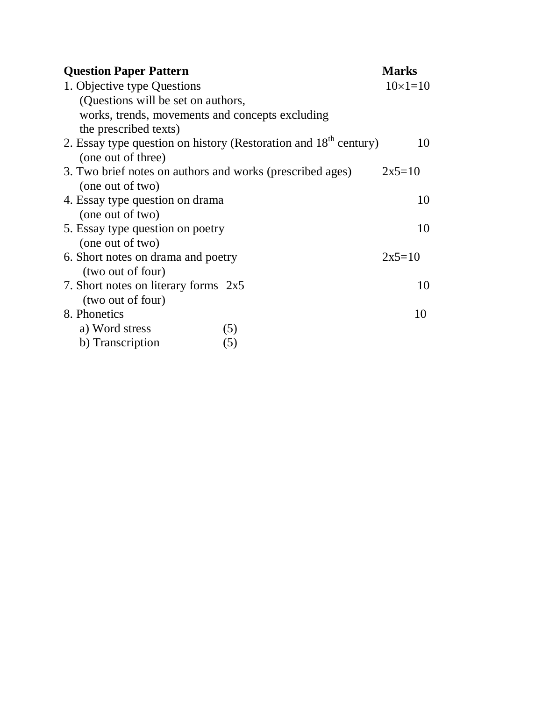| <b>Question Paper Pattern</b>                                                | <b>Marks</b>   |
|------------------------------------------------------------------------------|----------------|
| 1. Objective type Questions                                                  | $10\times1=10$ |
| (Questions will be set on authors,                                           |                |
| works, trends, movements and concepts excluding                              |                |
| the prescribed texts)                                                        |                |
| 2. Essay type question on history (Restoration and 18 <sup>th</sup> century) | 10             |
| (one out of three)                                                           |                |
| 3. Two brief notes on authors and works (prescribed ages)                    | $2x5=10$       |
| (one out of two)                                                             |                |
| 4. Essay type question on drama                                              | 10             |
| (one out of two)                                                             |                |
| 5. Essay type question on poetry                                             | 10             |
| (one out of two)                                                             |                |
| 6. Short notes on drama and poetry                                           | $2x5=10$       |
| (two out of four)                                                            |                |
| 7. Short notes on literary forms $2x5$<br>(two out of four)                  | 10             |
| 8. Phonetics                                                                 | 10             |
| a) Word stress<br>(5)                                                        |                |
| b) Transcription<br>(5)                                                      |                |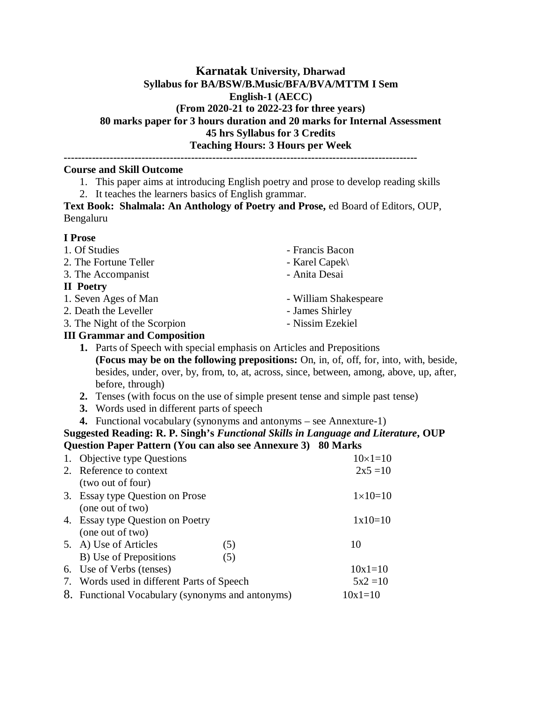#### **Karnatak University, Dharwad Syllabus for BA/BSW/B.Music/BFA/BVA/MTTM I Sem English-1 (AECC) (From 2020-21 to 2022-23 for three years) 80 marks paper for 3 hours duration and 20 marks for Internal Assessment 45 hrs Syllabus for 3 Credits Teaching Hours: 3 Hours per Week**

**----------------------------------------------------------------------------------------------------**

#### **Course and Skill Outcome**

- 1. This paper aims at introducing English poetry and prose to develop reading skills
- 2. It teaches the learners basics of English grammar.

**Text Book: Shalmala: An Anthology of Poetry and Prose,** ed Board of Editors, OUP, Bengaluru

#### **I Prose**

- 
- 2. The Fortune Teller Karel Capek\
- 3. The Accompanist Anita Desai

#### **II Poetry**

- 1. Seven Ages of Man William Shakespeare
- 2. Death the Leveller James Shirley
- 3. The Night of the Scorpion Nissim Ezekiel
- **III Grammar and Composition**
- 1. Of Studies Francis Bacon
	-
	-
	-
	-
	-
	- **1.** Parts of Speech with special emphasis on Articles and Prepositions **(Focus may be on the following prepositions:** On, in, of, off, for, into, with, beside, besides, under, over, by, from, to, at, across, since, between, among, above, up, after, before, through)
	- **2.** Tenses (with focus on the use of simple present tense and simple past tense)
	- **3.** Words used in different parts of speech
	- **4.** Functional vocabulary (synonyms and antonyms see Annexture-1)

#### **Suggested Reading: R. P. Singh's** *Functional Skills in Language and Literature***, OUP Question Paper Pattern (You can also see Annexure 3) 80 Marks**

| 1. Objective type Questions                      |     | $10\times1=10$     |
|--------------------------------------------------|-----|--------------------|
| 2. Reference to context                          |     | $2x5 = 10$         |
| (two out of four)                                |     |                    |
| 3. Essay type Question on Prose                  |     | $1 \times 10 = 10$ |
| (one out of two)                                 |     |                    |
| 4. Essay type Question on Poetry                 |     | $1x10=10$          |
| (one out of two)                                 |     |                    |
| 5. A) Use of Articles                            | (5) | 10                 |
| B) Use of Prepositions                           | (5) |                    |
| 6. Use of Verbs (tenses)                         |     | $10x1=10$          |
| 7. Words used in different Parts of Speech       |     | $5x^2 = 10$        |
| 8. Functional Vocabulary (synonyms and antonyms) |     | $10x1=10$          |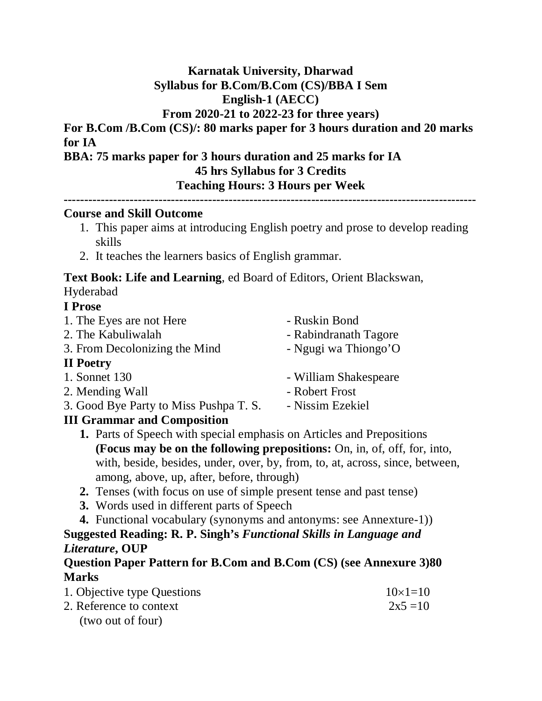## **Karnatak University, Dharwad Syllabus for B.Com/B.Com (CS)/BBA I Sem English-1 (AECC)**

## **From 2020-21 to 2022-23 for three years)**

**For B.Com /B.Com (CS)/: 80 marks paper for 3 hours duration and 20 marks for IA**

**BBA: 75 marks paper for 3 hours duration and 25 marks for IA 45 hrs Syllabus for 3 Credits Teaching Hours: 3 Hours per Week**

```
----------------------------------------------------------------------------------------------------
```
### **Course and Skill Outcome**

- 1. This paper aims at introducing English poetry and prose to develop reading skills
- 2. It teaches the learners basics of English grammar.

**Text Book: Life and Learning**, ed Board of Editors, Orient Blackswan, Hyderabad

### **I Prose**

| 1. The Eyes are not Here               | - Ruskin Bond         |
|----------------------------------------|-----------------------|
| 2. The Kabuliwalah                     | - Rabindranath Tagore |
| 3. From Decolonizing the Mind          | - Ngugi wa Thiongo'O  |
| <b>II</b> Poetry                       |                       |
| 1. Sonnet 130                          | - William Shakespeare |
| 2. Mending Wall                        | - Robert Frost        |
| 3. Good Bye Party to Miss Pushpa T. S. | - Nissim Ezekiel      |
| <b>III Grammar and Composition</b>     |                       |

- **1.** Parts of Speech with special emphasis on Articles and Prepositions **(Focus may be on the following prepositions:** On, in, of, off, for, into, with, beside, besides, under, over, by, from, to, at, across, since, between, among, above, up, after, before, through)
- **2.** Tenses (with focus on use of simple present tense and past tense)
- **3.** Words used in different parts of Speech
- **4.** Functional vocabulary (synonyms and antonyms: see Annexture-1)) **Suggested Reading: R. P. Singh's** *Functional Skills in Language and Literature***, OUP**

## **Question Paper Pattern for B.Com and B.Com (CS) (see Annexure 3)80 Marks**

| 1. Objective type Questions | $10\times1=10$ |
|-----------------------------|----------------|
| 2. Reference to context     | $2x5 = 10$     |
| (two out of four)           |                |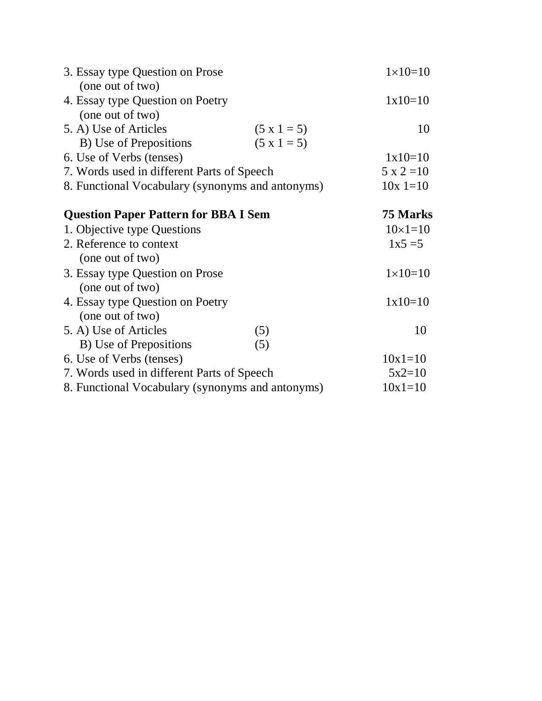| 3. Essay type Question on Prose                  |               | $1 \times 10 = 10$ |
|--------------------------------------------------|---------------|--------------------|
| (one out of two)                                 |               |                    |
| 4. Essay type Question on Poetry                 |               | $1x10=10$          |
| (one out of two)                                 |               |                    |
| 5. A) Use of Articles                            | $(5 x 1 = 5)$ | 10                 |
| B) Use of Prepositions                           | $(5 x 1 = 5)$ |                    |
| 6. Use of Verbs (tenses)                         |               | $1x10=10$          |
| 7. Words used in different Parts of Speech       |               | $5 \times 2 = 10$  |
| 8. Functional Vocabulary (synonyms and antonyms) |               | $10x = 10$         |
| <b>Question Paper Pattern for BBA I Sem</b>      |               | 75 Marks           |
| 1. Objective type Questions                      |               | $10\times1=10$     |
| 2. Reference to context                          |               | $1x5 = 5$          |
| (one out of two)                                 |               |                    |
| 3. Essay type Question on Prose                  |               | $1 \times 10 = 10$ |
| (one out of two)                                 |               |                    |
| 4. Essay type Question on Poetry                 |               | $1x10=10$          |
| (one out of two)                                 |               |                    |
| 5. A) Use of Articles                            | (5)           | 10                 |
| B) Use of Prepositions                           | (5)           |                    |
| 6. Use of Verbs (tenses)                         |               | $10x1=10$          |
| 7. Words used in different Parts of Speech       |               | $5x2=10$           |
| 8. Functional Vocabulary (synonyms and antonyms) |               | $10x1=10$          |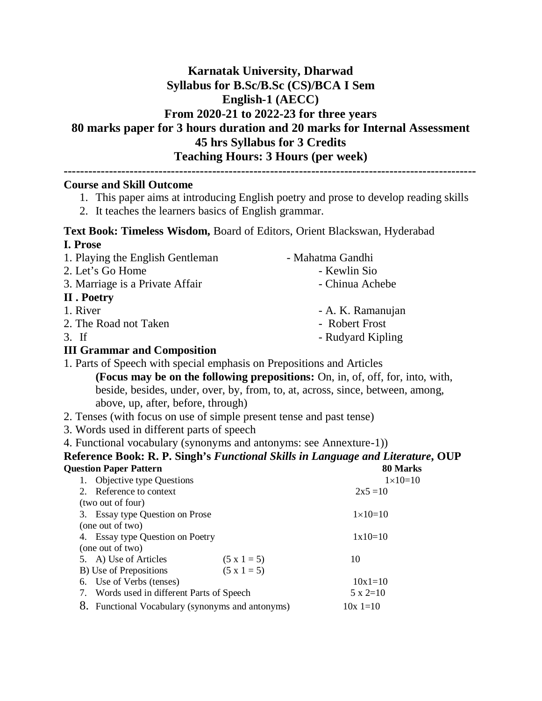## **Karnatak University, Dharwad Syllabus for B.Sc/B.Sc (CS)/BCA I Sem English-1 (AECC) From 2020-21 to 2022-23 for three years 80 marks paper for 3 hours duration and 20 marks for Internal Assessment 45 hrs Syllabus for 3 Credits Teaching Hours: 3 Hours (per week)**

#### **Course and Skill Outcome**

- 1. This paper aims at introducing English poetry and prose to develop reading skills
- 2. It teaches the learners basics of English grammar.

#### **Text Book: Timeless Wisdom,** Board of Editors, Orient Blackswan, Hyderabad **I. Prose**

1. Playing the English Gentleman - Mahatma Gandhi 2. Let's Go Home - Kewlin Sio 3. Marriage is a Private Affair **- Chinua Achebe** 

#### **II . Poetry**

- 1. River A. K. Ramanujan
- 2. The Road not Taken Robert Frost
- 3. If Rudyard Kipling

#### **III Grammar and Composition**

- 1. Parts of Speech with special emphasis on Prepositions and Articles
	- **(Focus may be on the following prepositions:** On, in, of, off, for, into, with, beside, besides, under, over, by, from, to, at, across, since, between, among, above, up, after, before, through)
- 2. Tenses (with focus on use of simple present tense and past tense)
- 3. Words used in different parts of speech
- 4. Functional vocabulary (synonyms and antonyms: see Annexture-1))

#### **Reference Book: R. P. Singh's** *Functional Skills in Language and Literature***, OUP Question Paper**

|                                               | ou mark            |
|-----------------------------------------------|--------------------|
|                                               | $1 \times 10 = 10$ |
|                                               | $2x5 = 10$         |
|                                               |                    |
|                                               | $1 \times 10 = 10$ |
|                                               |                    |
|                                               | $1x10=10$          |
|                                               |                    |
| $(5 x 1 = 5)$                                 | 10                 |
| $(5 x 1 = 5)$                                 |                    |
|                                               | $10x1=10$          |
| Words used in different Parts of Speech       | $5 \times 2=10$    |
| Functional Vocabulary (synonyms and antonyms) | $10x = 10$         |
|                                               |                    |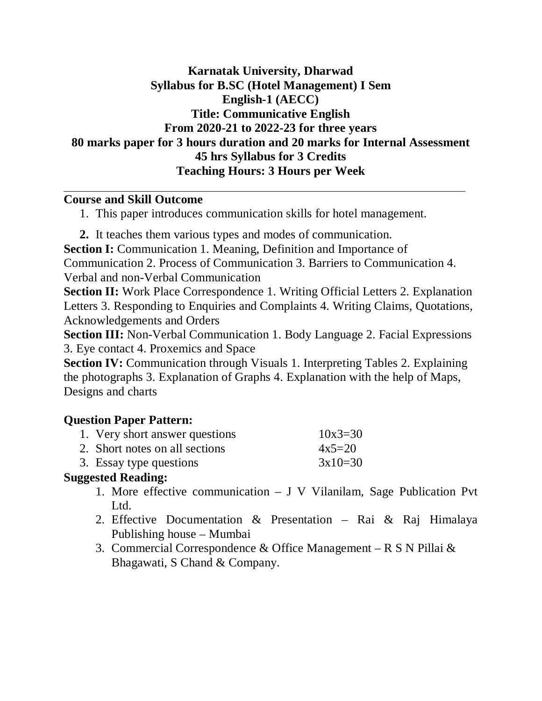## **Karnatak University, Dharwad Syllabus for B.SC (Hotel Management) I Sem English-1 (AECC) Title: Communicative English From 2020-21 to 2022-23 for three years 80 marks paper for 3 hours duration and 20 marks for Internal Assessment 45 hrs Syllabus for 3 Credits Teaching Hours: 3 Hours per Week**

### **Course and Skill Outcome**

1. This paper introduces communication skills for hotel management.

**2.** It teaches them various types and modes of communication.

**Section I:** Communication 1. Meaning, Definition and Importance of

Communication 2. Process of Communication 3. Barriers to Communication 4. Verbal and non-Verbal Communication

**Section II:** Work Place Correspondence 1. Writing Official Letters 2. Explanation Letters 3. Responding to Enquiries and Complaints 4. Writing Claims, Quotations, Acknowledgements and Orders

**Section III:** Non-Verbal Communication 1. Body Language 2. Facial Expressions 3. Eye contact 4. Proxemics and Space

**Section IV:** Communication through Visuals 1. Interpreting Tables 2. Explaining the photographs 3. Explanation of Graphs 4. Explanation with the help of Maps, Designs and charts

## **Question Paper Pattern:**

| 1. Very short answer questions | $10x3 = 30$ |
|--------------------------------|-------------|
| 2. Short notes on all sections | $4x5=20$    |
| 3. Essay type questions        | $3x10=30$   |

### **Suggested Reading:**

- 1. More effective communication J V Vilanilam, Sage Publication Pvt Ltd.
- 2. Effective Documentation & Presentation Rai & Raj Himalaya Publishing house – Mumbai
- 3. Commercial Correspondence & Office Management R S N Pillai & Bhagawati, S Chand & Company.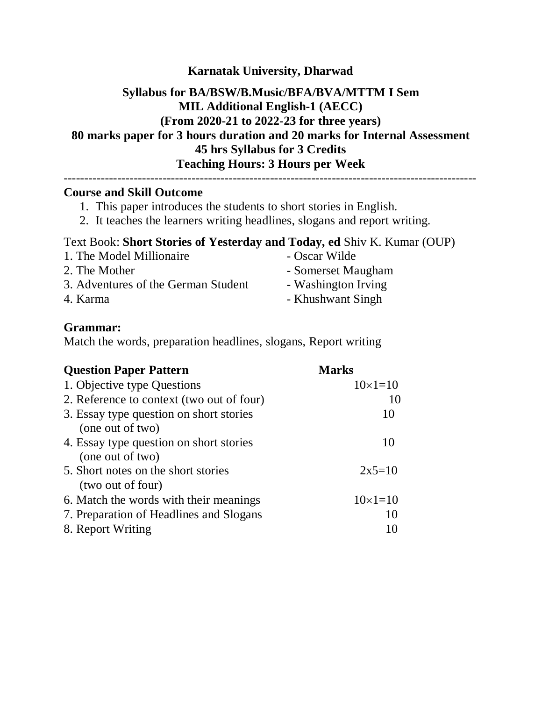### **Karnatak University, Dharwad**

## **Syllabus for BA/BSW/B.Music/BFA/BVA/MTTM I Sem MIL Additional English-1 (AECC) (From 2020-21 to 2022-23 for three years) 80 marks paper for 3 hours duration and 20 marks for Internal Assessment 45 hrs Syllabus for 3 Credits Teaching Hours: 3 Hours per Week**

----------------------------------------------------------------------------------------------------

#### **Course and Skill Outcome**

- 1. This paper introduces the students to short stories in English.
- 2. It teaches the learners writing headlines, slogans and report writing.

### Text Book: **Short Stories of Yesterday and Today, ed** Shiv K. Kumar (OUP)

- 1. The Model Millionaire Oscar Wilde 2. The Mother **- Somerset Maugham** 3. Adventures of the German Student - Washington Irving
- 
- 
- 4. Karma Khushwant Singh

### **Grammar:**

Match the words, preparation headlines, slogans, Report writing

| <b>Question Paper Pattern</b>             | <b>Marks</b>   |
|-------------------------------------------|----------------|
| 1. Objective type Questions               | $10\times1=10$ |
| 2. Reference to context (two out of four) | 10             |
| 3. Essay type question on short stories   | 10             |
| (one out of two)                          |                |
| 4. Essay type question on short stories   | 10             |
| (one out of two)                          |                |
| 5. Short notes on the short stories       | $2x5=10$       |
| (two out of four)                         |                |
| 6. Match the words with their meanings    | $10\times1=10$ |
| 7. Preparation of Headlines and Slogans   | 10             |
| 8. Report Writing                         | 10             |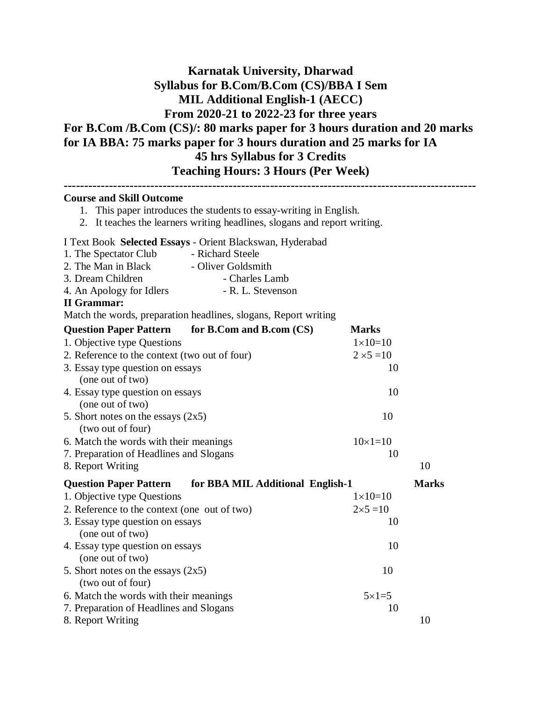## **Karnatak University, Dharwad Syllabus for B.Com/B.Com (CS)/BBA I Sem MIL Additional English-1 (AECC) From 2020-21 to 2022-23 for three years For B.Com /B.Com (CS)/: 80 marks paper for 3 hours duration and 20 marks for IA BBA: 75 marks paper for 3 hours duration and 25 marks for IA 45 hrs Syllabus for 3 Credits Teaching Hours: 3 Hours (Per Week)**

| <b>Course and Skill Outcome</b><br>1. This paper introduces the students to essay-writing in English.                                                                                                                                                                                                                                |                    |              |
|--------------------------------------------------------------------------------------------------------------------------------------------------------------------------------------------------------------------------------------------------------------------------------------------------------------------------------------|--------------------|--------------|
| It teaches the learners writing headlines, slogans and report writing.<br>2.                                                                                                                                                                                                                                                         |                    |              |
| I Text Book Selected Essays - Orient Blackswan, Hyderabad<br>1. The Spectator Club<br>- Richard Steele<br>2. The Man in Black<br>- Oliver Goldsmith<br>3. Dream Children<br>- Charles Lamb<br>4. An Apology for Idlers<br>- R. L. Stevenson<br><b>II</b> Grammar:<br>Match the words, preparation headlines, slogans, Report writing |                    |              |
| for B.Com and B.com (CS)<br><b>Question Paper Pattern</b>                                                                                                                                                                                                                                                                            | <b>Marks</b>       |              |
| 1. Objective type Questions                                                                                                                                                                                                                                                                                                          | $1 \times 10 = 10$ |              |
| 2. Reference to the context (two out of four)                                                                                                                                                                                                                                                                                        | $2 \times 5 = 10$  |              |
| 3. Essay type question on essays                                                                                                                                                                                                                                                                                                     | 10                 |              |
| (one out of two)                                                                                                                                                                                                                                                                                                                     |                    |              |
| 4. Essay type question on essays                                                                                                                                                                                                                                                                                                     | 10                 |              |
| (one out of two)                                                                                                                                                                                                                                                                                                                     |                    |              |
| 5. Short notes on the essays $(2x5)$<br>(two out of four)                                                                                                                                                                                                                                                                            | 10                 |              |
| 6. Match the words with their meanings                                                                                                                                                                                                                                                                                               | $10 \times 1 = 10$ |              |
| 7. Preparation of Headlines and Slogans                                                                                                                                                                                                                                                                                              | 10                 |              |
| 8. Report Writing                                                                                                                                                                                                                                                                                                                    |                    | 10           |
| for BBA MIL Additional English-1<br><b>Question Paper Pattern</b>                                                                                                                                                                                                                                                                    |                    | <b>Marks</b> |
| 1. Objective type Questions                                                                                                                                                                                                                                                                                                          | $1 \times 10 = 10$ |              |
| 2. Reference to the context (one out of two)                                                                                                                                                                                                                                                                                         | $2 \times 5 = 10$  |              |
| 3. Essay type question on essays<br>(one out of two)                                                                                                                                                                                                                                                                                 | 10                 |              |
| 4. Essay type question on essays<br>(one out of two)                                                                                                                                                                                                                                                                                 | 10                 |              |
| 5. Short notes on the essays $(2x5)$<br>(two out of four)                                                                                                                                                                                                                                                                            | 10                 |              |
| 6. Match the words with their meanings                                                                                                                                                                                                                                                                                               | $5 \times 1 = 5$   |              |
| 7. Preparation of Headlines and Slogans                                                                                                                                                                                                                                                                                              | 10                 |              |
| 8. Report Writing                                                                                                                                                                                                                                                                                                                    |                    | 10           |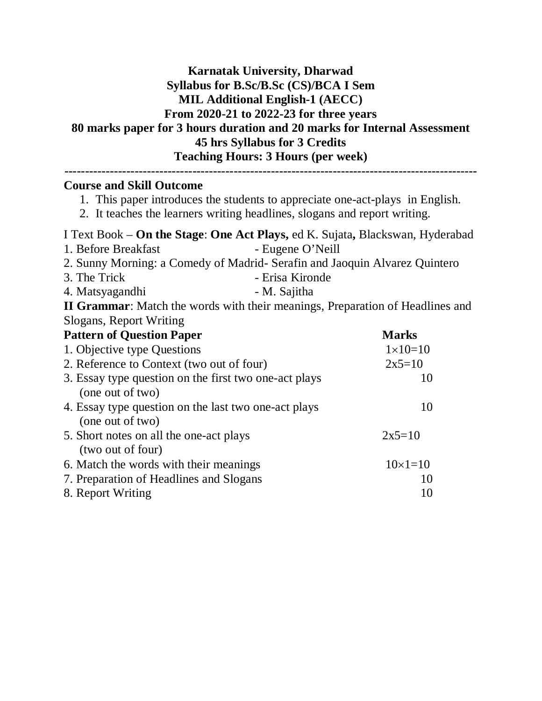## **Karnatak University, Dharwad Syllabus for B.Sc/B.Sc (CS)/BCA I Sem MIL Additional English-1 (AECC) From 2020-21 to 2022-23 for three years 80 marks paper for 3 hours duration and 20 marks for Internal Assessment 45 hrs Syllabus for 3 Credits Teaching Hours: 3 Hours (per week)**

| <b>Course and Skill Outcome</b><br>1. This paper introduces the students to appreciate one-act-plays in English.<br>2. It teaches the learners writing headlines, slogans and report writing. |                    |  |
|-----------------------------------------------------------------------------------------------------------------------------------------------------------------------------------------------|--------------------|--|
| I Text Book – On the Stage: One Act Plays, ed K. Sujata, Blackswan, Hyderabad                                                                                                                 |                    |  |
| 1. Before Breakfast                                                                                                                                                                           | - Eugene O'Neill   |  |
| 2. Sunny Morning: a Comedy of Madrid- Serafin and Jaoquin Alvarez Quintero                                                                                                                    |                    |  |
| 3. The Trick<br>- Erisa Kironde                                                                                                                                                               |                    |  |
| - M. Sajitha<br>4. Matsyagandhi                                                                                                                                                               |                    |  |
| <b>II Grammar:</b> Match the words with their meanings, Preparation of Headlines and                                                                                                          |                    |  |
| Slogans, Report Writing                                                                                                                                                                       |                    |  |
| <b>Pattern of Question Paper</b><br><b>Marks</b>                                                                                                                                              |                    |  |
| 1. Objective type Questions                                                                                                                                                                   | $1 \times 10 = 10$ |  |
| 2. Reference to Context (two out of four)<br>$2x5=10$                                                                                                                                         |                    |  |
| 3. Essay type question on the first two one-act plays<br>10                                                                                                                                   |                    |  |
| (one out of two)                                                                                                                                                                              |                    |  |
| 4. Essay type question on the last two one-act plays                                                                                                                                          | 10                 |  |
| (one out of two)                                                                                                                                                                              |                    |  |
| 5. Short notes on all the one-act plays                                                                                                                                                       | $2x5=10$           |  |
| (two out of four)                                                                                                                                                                             |                    |  |
| 6. Match the words with their meanings                                                                                                                                                        | $10 \times 1 = 10$ |  |
| 7. Preparation of Headlines and Slogans                                                                                                                                                       | 10                 |  |
| 8. Report Writing<br>10                                                                                                                                                                       |                    |  |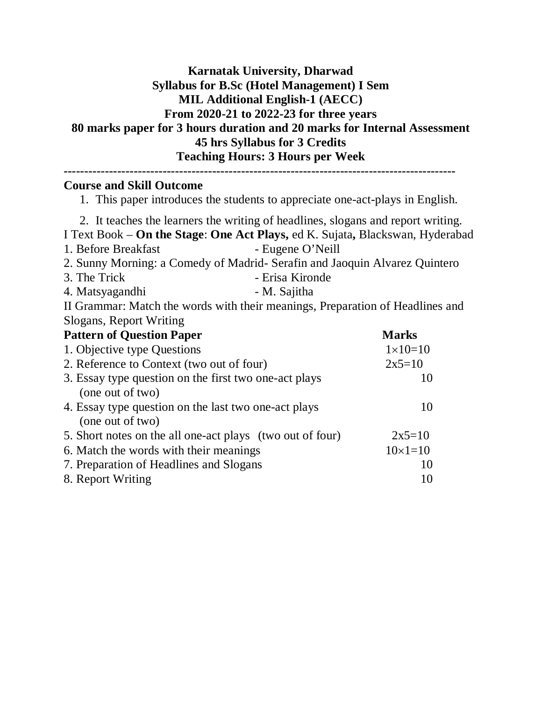## **Karnatak University, Dharwad Syllabus for B.Sc (Hotel Management) I Sem MIL Additional English-1 (AECC) From 2020-21 to 2022-23 for three years 80 marks paper for 3 hours duration and 20 marks for Internal Assessment 45 hrs Syllabus for 3 Credits Teaching Hours: 3 Hours per Week**

| <b>Course and Skill Outcome</b><br>1. This paper introduces the students to appreciate one-act-plays in English.                                                                                                                                                                                                                                                 |                    |  |
|------------------------------------------------------------------------------------------------------------------------------------------------------------------------------------------------------------------------------------------------------------------------------------------------------------------------------------------------------------------|--------------------|--|
| 2. It teaches the learners the writing of headlines, slogans and report writing.<br>I Text Book – On the Stage: One Act Plays, ed K. Sujata, Blackswan, Hyderabad<br>- Eugene O'Neill<br>1. Before Breakfast<br>2. Sunny Morning: a Comedy of Madrid- Serafin and Jaoquin Alvarez Quintero<br>3. The Trick<br>- Erisa Kironde<br>- M. Sajitha<br>4. Matsyagandhi |                    |  |
| II Grammar: Match the words with their meanings, Preparation of Headlines and                                                                                                                                                                                                                                                                                    |                    |  |
| Slogans, Report Writing                                                                                                                                                                                                                                                                                                                                          |                    |  |
| <b>Pattern of Question Paper</b>                                                                                                                                                                                                                                                                                                                                 | <b>Marks</b>       |  |
| 1. Objective type Questions                                                                                                                                                                                                                                                                                                                                      | $1 \times 10 = 10$ |  |
| 2. Reference to Context (two out of four)                                                                                                                                                                                                                                                                                                                        | $2x5=10$           |  |
| 3. Essay type question on the first two one-act plays<br>(one out of two)                                                                                                                                                                                                                                                                                        | 10                 |  |
| 4. Essay type question on the last two one-act plays<br>(one out of two)                                                                                                                                                                                                                                                                                         | 10                 |  |
| 5. Short notes on the all one-act plays (two out of four)                                                                                                                                                                                                                                                                                                        | $2x5=10$           |  |
| 6. Match the words with their meanings                                                                                                                                                                                                                                                                                                                           | $10\times1=10$     |  |
| 7. Preparation of Headlines and Slogans                                                                                                                                                                                                                                                                                                                          | 10                 |  |
| 8. Report Writing                                                                                                                                                                                                                                                                                                                                                | 10                 |  |
|                                                                                                                                                                                                                                                                                                                                                                  |                    |  |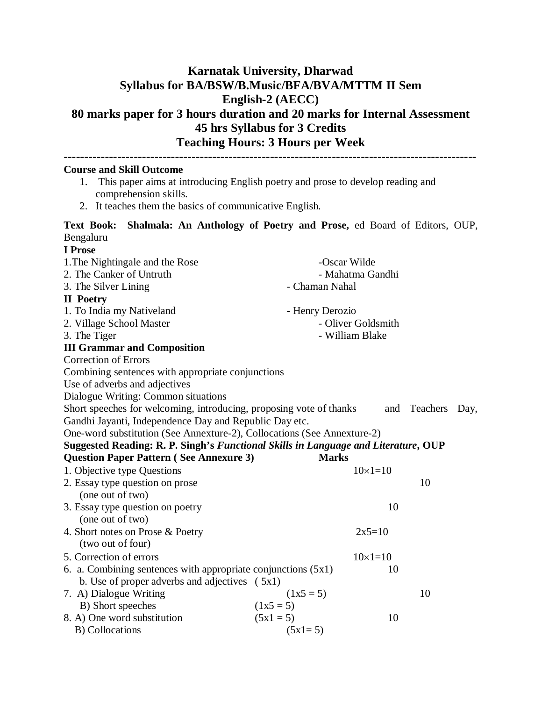## **Karnatak University, Dharwad Syllabus for BA/BSW/B.Music/BFA/BVA/MTTM II Sem English-2 (AECC) 80 marks paper for 3 hours duration and 20 marks for Internal Assessment 45 hrs Syllabus for 3 Credits Teaching Hours: 3 Hours per Week**

----------------------------------------------------------------------------------------------------

1. This paper aims at introducing English poetry and prose to develop reading and comprehension skills. 2. It teaches them the basics of communicative English. **Text Book: Shalmala: An Anthology of Poetry and Prose,** ed Board of Editors, OUP, Bengaluru **I Prose** 1. The Nightingale and the Rose -Oscar Wilde 2. The Canker of Untruth - Mahatma Gandhi 3. The Silver Lining **- Chaman Nahal II Poetry** 1. To India my Nativeland - Henry Derozio 2. Village School Master - Oliver Goldsmith 3. The Tiger - William Blake

#### **III Grammar and Composition**

**Course and Skill Outcome**

Correction of Errors

Combining sentences with appropriate conjunctions

Use of adverbs and adjectives

Dialogue Writing: Common situations

Short speeches for welcoming, introducing, proposing vote of thanks and Teachers Day, Gandhi Jayanti, Independence Day and Republic Day etc.

One-word substitution (See Annexture-2), Collocations (See Annexture-2)

| Suggested Reading: R. P. Singh's Functional Skills in Language and Literature, OUP |  |                           |  |
|------------------------------------------------------------------------------------|--|---------------------------|--|
|                                                                                    |  | $\mathbf{M}$ $\mathbf{L}$ |  |

| Question Paper Pattern (See Annexure 3)<br>Marks                |                |    |
|-----------------------------------------------------------------|----------------|----|
|                                                                 | $10\times1=10$ |    |
|                                                                 |                | 10 |
|                                                                 |                |    |
|                                                                 | 10             |    |
|                                                                 |                |    |
|                                                                 | $2x5=10$       |    |
|                                                                 |                |    |
|                                                                 | $10\times1=10$ |    |
| 6. a. Combining sentences with appropriate conjunctions $(5x1)$ | 10             |    |
| b. Use of proper adverbs and adjectives $(5x1)$                 |                |    |
| $(1x5 = 5)$                                                     |                | 10 |
| $(1x5 = 5)$                                                     |                |    |
| $(5x1 = 5)$                                                     | 10             |    |
| $(5x1=5)$                                                       |                |    |
|                                                                 |                |    |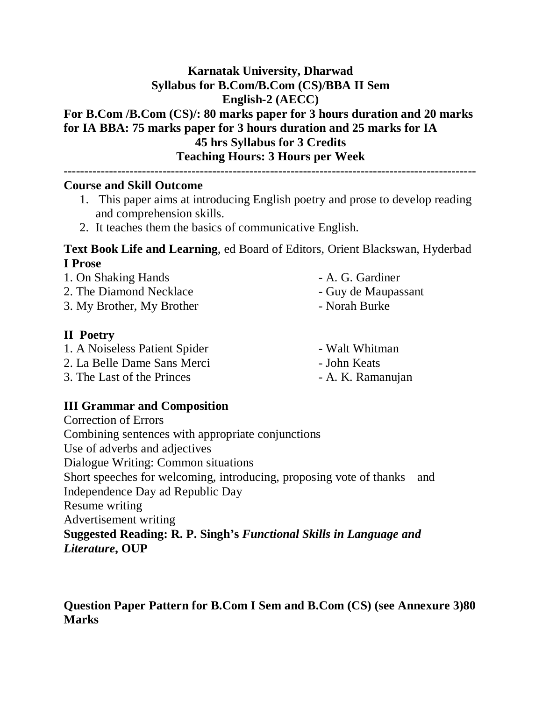## **Karnatak University, Dharwad Syllabus for B.Com/B.Com (CS)/BBA II Sem English-2 (AECC)**

## **For B.Com /B.Com (CS)/: 80 marks paper for 3 hours duration and 20 marks for IA BBA: 75 marks paper for 3 hours duration and 25 marks for IA 45 hrs Syllabus for 3 Credits Teaching Hours: 3 Hours per Week**

**----------------------------------------------------------------------------------------------------**

### **Course and Skill Outcome**

- 1. This paper aims at introducing English poetry and prose to develop reading and comprehension skills.
- 2. It teaches them the basics of communicative English.

## **Text Book Life and Learning**, ed Board of Editors, Orient Blackswan, Hyderbad **I Prose**

- 1. On Shaking Hands A. G. Gardiner
- 2. The Diamond Necklace Guy de Maupassant
- 3. My Brother, My Brother Norah Burke

## **II Poetry**

- 1. A Noiseless Patient Spider Walt Whitman
- 2. La Belle Dame Sans Merci John Keats
- 3. The Last of the Princes A. K. Ramanujan
- 
- 
- 
- 
- 

- 
- **III Grammar and Composition**

Correction of Errors Combining sentences with appropriate conjunctions Use of adverbs and adjectives Dialogue Writing: Common situations Short speeches for welcoming, introducing, proposing vote of thanks and Independence Day ad Republic Day Resume writing Advertisement writing **Suggested Reading: R. P. Singh's** *Functional Skills in Language and Literature***, OUP**

**Question Paper Pattern for B.Com I Sem and B.Com (CS) (see Annexure 3)80 Marks**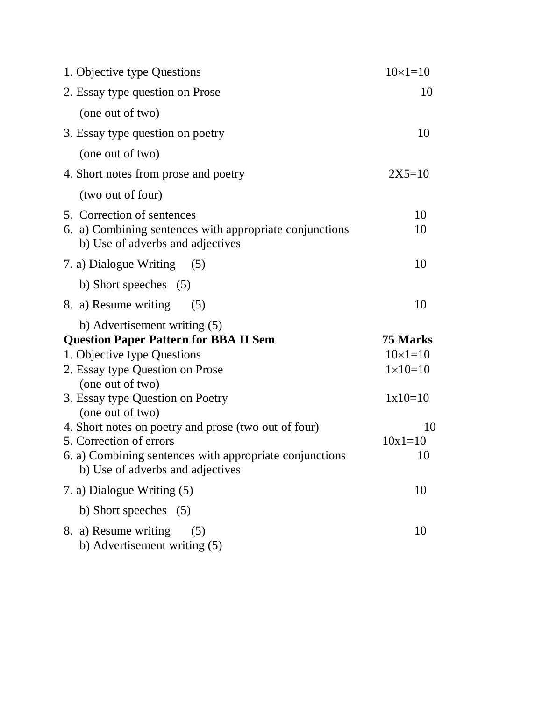| 1. Objective type Questions                                                                 | $10 \times 1 = 10$ |
|---------------------------------------------------------------------------------------------|--------------------|
| 2. Essay type question on Prose                                                             | 10                 |
| (one out of two)                                                                            |                    |
| 3. Essay type question on poetry                                                            | 10                 |
| (one out of two)                                                                            |                    |
| 4. Short notes from prose and poetry                                                        | $2X5=10$           |
| (two out of four)                                                                           |                    |
| 5. Correction of sentences                                                                  | 10                 |
| 6. a) Combining sentences with appropriate conjunctions<br>b) Use of adverbs and adjectives | 10                 |
| 7. a) Dialogue Writing<br>(5)                                                               | 10                 |
| b) Short speeches $(5)$                                                                     |                    |
| 8. a) Resume writing<br>(5)                                                                 | 10                 |
| b) Advertisement writing (5)                                                                |                    |
| <b>Question Paper Pattern for BBA II Sem</b>                                                | 75 Marks           |
| 1. Objective type Questions                                                                 | $10 \times 1 = 10$ |
| 2. Essay type Question on Prose                                                             | $1 \times 10 = 10$ |
| (one out of two)                                                                            |                    |
| 3. Essay type Question on Poetry<br>(one out of two)                                        | $1x10=10$          |
| 4. Short notes on poetry and prose (two out of four)                                        | 10                 |
| 5. Correction of errors                                                                     | $10x1=10$          |
| 6. a) Combining sentences with appropriate conjunctions<br>b) Use of adverbs and adjectives | 10                 |
| 7. a) Dialogue Writing (5)                                                                  | 10                 |
| b) Short speeches (5)                                                                       |                    |
| 8. a) Resume writing<br>(5)<br>b) Advertisement writing (5)                                 | 10                 |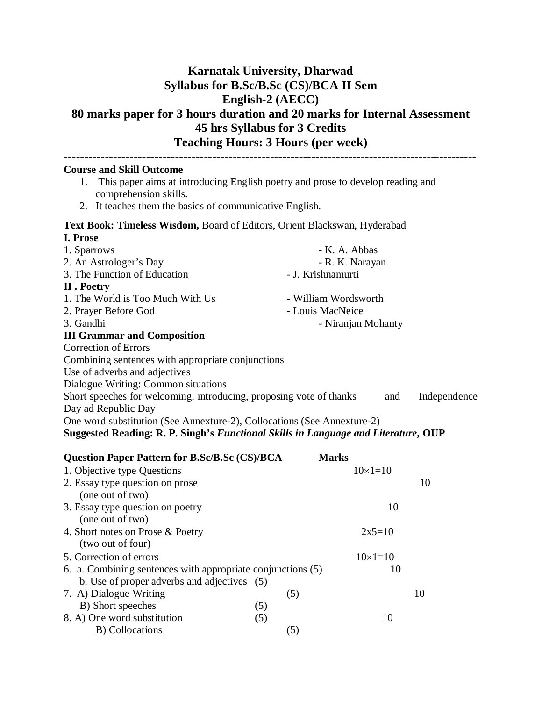## **Karnatak University, Dharwad Syllabus for B.Sc/B.Sc (CS)/BCA II Sem English-2 (AECC) 80 marks paper for 3 hours duration and 20 marks for Internal Assessment 45 hrs Syllabus for 3 Credits Teaching Hours: 3 Hours (per week)**

| <b>Course and Skill Outcome</b>                                                                               |                      |  |  |  |
|---------------------------------------------------------------------------------------------------------------|----------------------|--|--|--|
| This paper aims at introducing English poetry and prose to develop reading and<br>1.<br>comprehension skills. |                      |  |  |  |
| 2. It teaches them the basics of communicative English.                                                       |                      |  |  |  |
| Text Book: Timeless Wisdom, Board of Editors, Orient Blackswan, Hyderabad                                     |                      |  |  |  |
| I. Prose                                                                                                      |                      |  |  |  |
| 1. Sparrows                                                                                                   | - K. A. Abbas        |  |  |  |
| 2. An Astrologer's Day                                                                                        | - R. K. Narayan      |  |  |  |
| 3. The Function of Education                                                                                  | - J. Krishnamurti    |  |  |  |
| II . Poetry                                                                                                   |                      |  |  |  |
| 1. The World is Too Much With Us                                                                              | - William Wordsworth |  |  |  |
| 2. Prayer Before God                                                                                          | - Louis MacNeice     |  |  |  |
| 3. Gandhi<br>- Niranjan Mohanty                                                                               |                      |  |  |  |
| <b>III Grammar and Composition</b>                                                                            |                      |  |  |  |
| <b>Correction of Errors</b>                                                                                   |                      |  |  |  |
| Combining sentences with appropriate conjunctions                                                             |                      |  |  |  |
| Use of adverbs and adjectives                                                                                 |                      |  |  |  |
| Dialogue Writing: Common situations                                                                           |                      |  |  |  |
| Short speeches for welcoming, introducing, proposing vote of thanks                                           | Independence<br>and  |  |  |  |
| Day ad Republic Day                                                                                           |                      |  |  |  |
| One word substitution (See Annexture-2), Collocations (See Annexture-2)                                       |                      |  |  |  |
| Suggested Reading: R. P. Singh's Functional Skills in Language and Literature, OUP                            |                      |  |  |  |

| <b>Question Paper Pattern for B.Sc/B.Sc (CS)/BCA</b>        |     | <b>Marks</b> |                |    |
|-------------------------------------------------------------|-----|--------------|----------------|----|
| 1. Objective type Questions                                 |     |              | $10\times1=10$ |    |
| 2. Essay type question on prose                             |     |              |                | 10 |
| (one out of two)                                            |     |              |                |    |
| 3. Essay type question on poetry                            |     |              | 10             |    |
| (one out of two)                                            |     |              |                |    |
| 4. Short notes on Prose & Poetry                            |     |              | $2x5=10$       |    |
| (two out of four)                                           |     |              |                |    |
| 5. Correction of errors                                     |     |              | $10\times1=10$ |    |
| 6. a. Combining sentences with appropriate conjunctions (5) |     |              | 10             |    |
| b. Use of proper adverbs and adjectives (5)                 |     |              |                |    |
| 7. A) Dialogue Writing                                      | (5) |              |                | 10 |
| B) Short speeches                                           | (5) |              |                |    |
| 8. A) One word substitution                                 | (5) |              | 10             |    |
| B) Collocations                                             | (5) |              |                |    |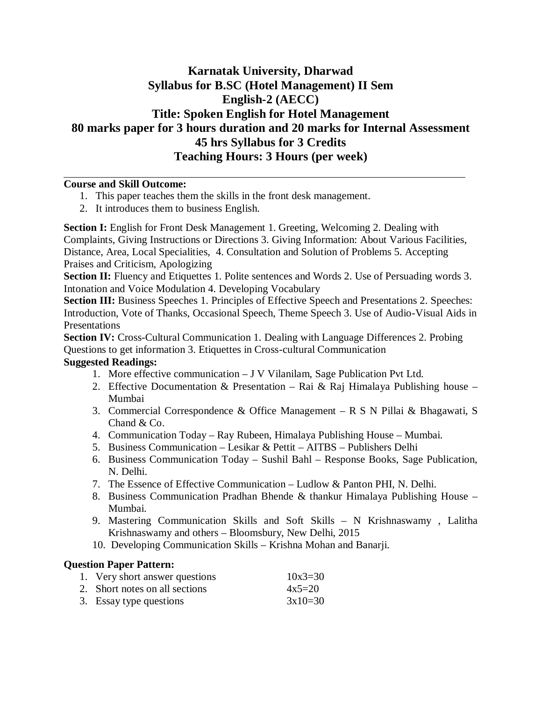## **Karnatak University, Dharwad Syllabus for B.SC (Hotel Management) II Sem English-2 (AECC) Title: Spoken English for Hotel Management 80 marks paper for 3 hours duration and 20 marks for Internal Assessment 45 hrs Syllabus for 3 Credits Teaching Hours: 3 Hours (per week)**

#### **Course and Skill Outcome:**

- 1. This paper teaches them the skills in the front desk management.
- 2. It introduces them to business English.

**Section I:** English for Front Desk Management 1. Greeting, Welcoming 2. Dealing with Complaints, Giving Instructions or Directions 3. Giving Information: About Various Facilities, Distance, Area, Local Specialities, 4. Consultation and Solution of Problems 5. Accepting Praises and Criticism, Apologizing

**Section II:** Fluency and Etiquettes 1. Polite sentences and Words 2. Use of Persuading words 3. Intonation and Voice Modulation 4. Developing Vocabulary

Section III: Business Speeches 1. Principles of Effective Speech and Presentations 2. Speeches: Introduction, Vote of Thanks, Occasional Speech, Theme Speech 3. Use of Audio-Visual Aids in Presentations

**Section IV:** Cross-Cultural Communication 1. Dealing with Language Differences 2. Probing Questions to get information 3. Etiquettes in Cross-cultural Communication

#### **Suggested Readings:**

- 1. More effective communication J V Vilanilam, Sage Publication Pvt Ltd.
- 2. Effective Documentation & Presentation Rai & Raj Himalaya Publishing house Mumbai
- 3. Commercial Correspondence & Office Management R S N Pillai & Bhagawati, S Chand & Co.
- 4. Communication Today Ray Rubeen, Himalaya Publishing House Mumbai.
- 5. Business Communication Lesikar & Pettit AITBS Publishers Delhi
- 6. Business Communication Today Sushil Bahl Response Books, Sage Publication, N. Delhi.
- 7. The Essence of Effective Communication Ludlow & Panton PHI, N. Delhi.
- 8. Business Communication Pradhan Bhende & thankur Himalaya Publishing House Mumbai.
- 9. Mastering Communication Skills and Soft Skills N Krishnaswamy , Lalitha Krishnaswamy and others – Bloomsbury, New Delhi, 2015
- 10. Developing Communication Skills Krishna Mohan and Banarji.

#### **Question Paper Pattern:**

| 1. Very short answer questions | $10x3 = 30$ |
|--------------------------------|-------------|
| 2. Short notes on all sections | $4x5=20$    |
| 3. Essay type questions        | $3x10=30$   |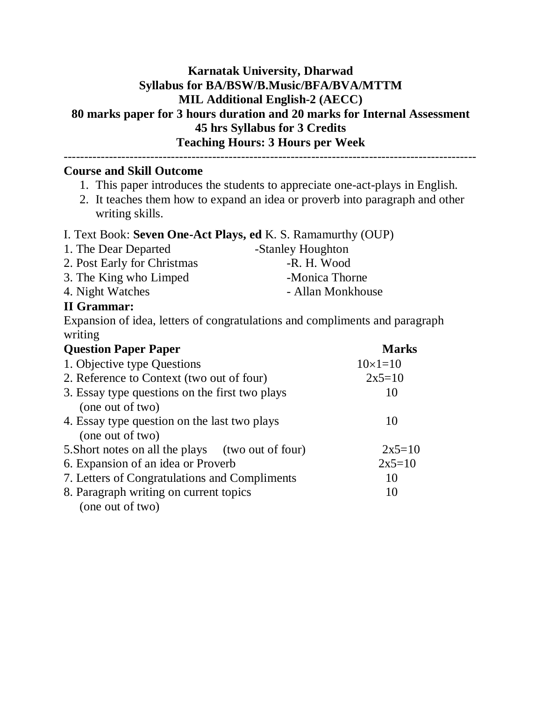## **Karnatak University, Dharwad Syllabus for BA/BSW/B.Music/BFA/BVA/MTTM MIL Additional English-2 (AECC) 80 marks paper for 3 hours duration and 20 marks for Internal Assessment 45 hrs Syllabus for 3 Credits Teaching Hours: 3 Hours per Week**

#### **Course and Skill Outcome**

1. This paper introduces the students to appreciate one-act-plays in English.

----------------------------------------------------------------------------------------------------

2. It teaches them how to expand an idea or proverb into paragraph and other writing skills.

#### I. Text Book: **Seven One-Act Plays, ed** K. S. Ramamurthy (OUP)

- 1. The Dear Departed -Stanley Houghton
- 2. Post Early for Christmas -- R. H. Wood 3. The King who Limped -Monica Thorne
- 4. Night Watches Allan Monkhouse

#### **II Grammar:**

Expansion of idea, letters of congratulations and compliments and paragraph writing

| <b>Ouestion Paper Paper</b>                       | <b>Marks</b>   |
|---------------------------------------------------|----------------|
| 1. Objective type Questions                       | $10\times1=10$ |
| 2. Reference to Context (two out of four)         | $2x5=10$       |
| 3. Essay type questions on the first two plays    | 10             |
| (one out of two)                                  |                |
| 4. Essay type question on the last two plays      | 10             |
| (one out of two)                                  |                |
| 5. Short notes on all the plays (two out of four) | $2x5=10$       |
| 6. Expansion of an idea or Proverb                | $2x5=10$       |
| 7. Letters of Congratulations and Compliments     | 10             |
| 8. Paragraph writing on current topics            | 10             |
| (one out of two)                                  |                |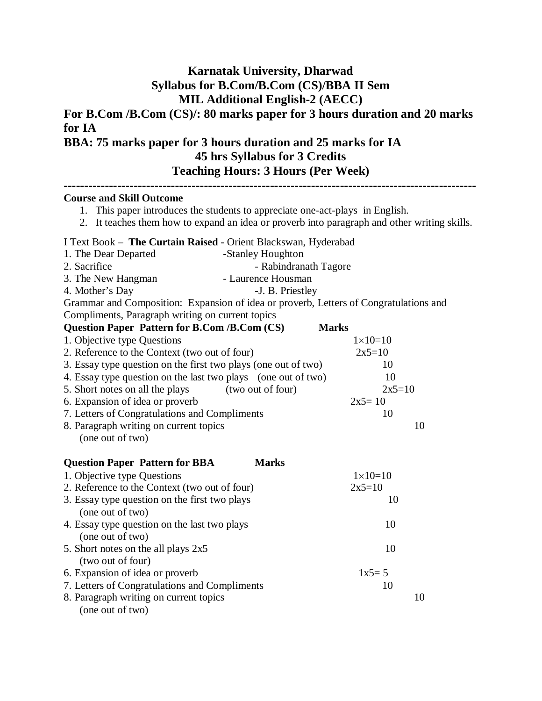## **Karnatak University, Dharwad Syllabus for B.Com/B.Com (CS)/BBA II Sem MIL Additional English-2 (AECC)**

**For B.Com /B.Com (CS)/: 80 marks paper for 3 hours duration and 20 marks for IA**

## **BBA: 75 marks paper for 3 hours duration and 25 marks for IA 45 hrs Syllabus for 3 Credits Teaching Hours: 3 Hours (Per Week)**

| <b>Course and Skill Outcome</b><br>1. This paper introduces the students to appreciate one-act-plays in English.<br>2. It teaches them how to expand an idea or proverb into paragraph and other writing skills. |                    |
|------------------------------------------------------------------------------------------------------------------------------------------------------------------------------------------------------------------|--------------------|
| I Text Book - The Curtain Raised - Orient Blackswan, Hyderabad                                                                                                                                                   |                    |
| 1. The Dear Departed<br>-Stanley Houghton                                                                                                                                                                        |                    |
| 2. Sacrifice<br>- Rabindranath Tagore                                                                                                                                                                            |                    |
| - Laurence Housman<br>3. The New Hangman                                                                                                                                                                         |                    |
| 4. Mother's Day<br>-J. B. Priestley                                                                                                                                                                              |                    |
| Grammar and Composition: Expansion of idea or proverb, Letters of Congratulations and                                                                                                                            |                    |
| Compliments, Paragraph writing on current topics                                                                                                                                                                 |                    |
| <b>Question Paper Pattern for B.Com /B.Com (CS)</b>                                                                                                                                                              | <b>Marks</b>       |
| 1. Objective type Questions                                                                                                                                                                                      | $1 \times 10 = 10$ |
| 2. Reference to the Context (two out of four)                                                                                                                                                                    | $2x5=10$           |
| 3. Essay type question on the first two plays (one out of two)                                                                                                                                                   | 10                 |
| 4. Essay type question on the last two plays (one out of two)                                                                                                                                                    | 10                 |
| 5. Short notes on all the plays<br>(two out of four)                                                                                                                                                             | $2x5=10$           |
| 6. Expansion of idea or proverb                                                                                                                                                                                  | $2x5=10$           |
| 7. Letters of Congratulations and Compliments                                                                                                                                                                    | 10                 |
| 8. Paragraph writing on current topics<br>(one out of two)                                                                                                                                                       | 10                 |
| <b>Marks</b><br><b>Question Paper Pattern for BBA</b>                                                                                                                                                            |                    |
| 1. Objective type Questions                                                                                                                                                                                      | $1 \times 10 = 10$ |
| 2. Reference to the Context (two out of four)                                                                                                                                                                    | $2x5=10$           |
| 3. Essay type question on the first two plays<br>(one out of two)                                                                                                                                                | 10                 |
| 4. Essay type question on the last two plays                                                                                                                                                                     | 10                 |
| (one out of two)                                                                                                                                                                                                 |                    |
| 5. Short notes on the all plays 2x5                                                                                                                                                                              | 10                 |
| (two out of four)                                                                                                                                                                                                |                    |
| 6. Expansion of idea or proverb                                                                                                                                                                                  | $1x5 = 5$          |
| 7. Letters of Congratulations and Compliments                                                                                                                                                                    | 10                 |
| 8. Paragraph writing on current topics                                                                                                                                                                           | 10                 |
| (one out of two)                                                                                                                                                                                                 |                    |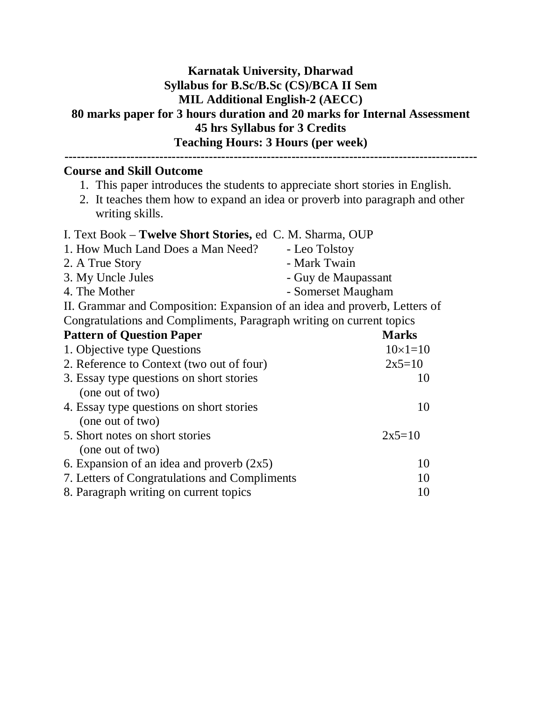### **Karnatak University, Dharwad Syllabus for B.Sc/B.Sc (CS)/BCA II Sem MIL Additional English-2 (AECC) 80 marks paper for 3 hours duration and 20 marks for Internal Assessment 45 hrs Syllabus for 3 Credits Teaching Hours: 3 Hours (per week) ----------------------------------------------------------------------------------------------------**

#### **Course and Skill Outcome**

- 1. This paper introduces the students to appreciate short stories in English.
- 2. It teaches them how to expand an idea or proverb into paragraph and other writing skills.

# I. Text Book – **Twelve Short Stories,** ed C. M. Sharma, OUP

| 1. How Much Land Does a Man Need?                                         | - Leo Tolstoy       |
|---------------------------------------------------------------------------|---------------------|
| 2. A True Story                                                           | - Mark Twain        |
| 3. My Uncle Jules                                                         | - Guy de Maupassant |
| 4. The Mother                                                             | - Somerset Maugham  |
| II. Grammar and Composition: Expansion of an idea and proverb, Letters of |                     |
| Congratulations and Compliments, Paragraph writing on current topics      |                     |
| <b>Pattern of Question Paper</b>                                          | <b>Marks</b>        |
| 1. Objective type Questions                                               | $10\times1=10$      |
| 2. Reference to Context (two out of four)                                 | $2x5=10$            |
| 3. Essay type questions on short stories                                  | 10                  |
| (one out of two)                                                          |                     |
| 4. Essay type questions on short stories                                  | 10                  |
| (one out of two)                                                          |                     |
| 5. Short notes on short stories                                           | $2x5=10$            |
| (one out of two)                                                          |                     |
| 6. Expansion of an idea and proverb $(2x5)$                               | 10                  |
| 7. Letters of Congratulations and Compliments                             | 10                  |
|                                                                           |                     |

8. Paragraph writing on current topics 10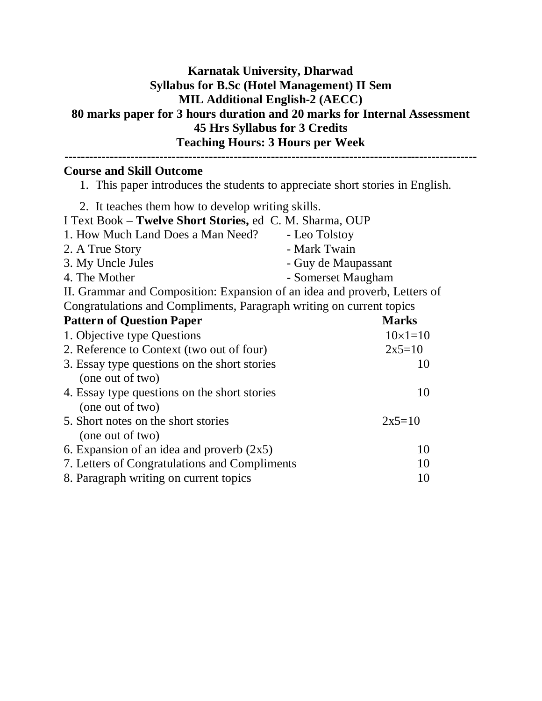## **Karnatak University, Dharwad Syllabus for B.Sc (Hotel Management) II Sem MIL Additional English-2 (AECC) 80 marks paper for 3 hours duration and 20 marks for Internal Assessment 45 Hrs Syllabus for 3 Credits Teaching Hours: 3 Hours per Week**

### **---------------------------------------------------------------------------------------------------- Course and Skill Outcome**

- 1. This paper introduces the students to appreciate short stories in English.
- 2. It teaches them how to develop writing skills. I Text Book – **Twelve Short Stories,** ed C. M. Sharma, OUP 1. How Much Land Does a Man Need? - Leo Tolstoy 2. A True Story **- Mark Twain** 3. My Uncle Jules - Guy de Maupassant 4. The Mother **- Somerset Maugham** II. Grammar and Composition: Expansion of an idea and proverb, Letters of Congratulations and Compliments, Paragraph writing on current topics **Pattern of Question Paper** Marks 1. Objective type Questions  $10\times1=10$ 2. Reference to Context (two out of four)  $2x5=10$ 3. Essay type questions on the short stories 10 (one out of two) 4. Essay type questions on the short stories 10 (one out of two) 5. Short notes on the short stories  $2x5=10$ (one out of two) 6. Expansion of an idea and proverb  $(2x5)$  10 7. Letters of Congratulations and Compliments 10 8. Paragraph writing on current topics 10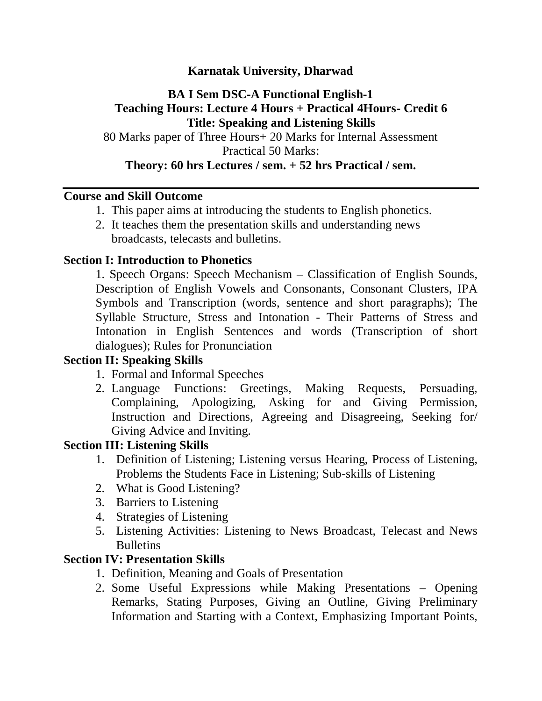## **Karnatak University, Dharwad**

## **BA I Sem DSC-A Functional English-1 Teaching Hours: Lecture 4 Hours + Practical 4Hours- Credit 6 Title: Speaking and Listening Skills**

80 Marks paper of Three Hours+ 20 Marks for Internal Assessment Practical 50 Marks: **Theory: 60 hrs Lectures / sem. + 52 hrs Practical / sem.**

### **Course and Skill Outcome**

- 1. This paper aims at introducing the students to English phonetics.
- 2. It teaches them the presentation skills and understanding news broadcasts, telecasts and bulletins.

### **Section I: Introduction to Phonetics**

1. Speech Organs: Speech Mechanism – Classification of English Sounds, Description of English Vowels and Consonants, Consonant Clusters, IPA Symbols and Transcription (words, sentence and short paragraphs); The Syllable Structure, Stress and Intonation - Their Patterns of Stress and Intonation in English Sentences and words (Transcription of short dialogues); Rules for Pronunciation

### **Section II: Speaking Skills**

- 1. Formal and Informal Speeches
- 2. Language Functions: Greetings, Making Requests, Persuading, Complaining, Apologizing, Asking for and Giving Permission, Instruction and Directions, Agreeing and Disagreeing, Seeking for/ Giving Advice and Inviting.

### **Section III: Listening Skills**

- 1. Definition of Listening; Listening versus Hearing, Process of Listening, Problems the Students Face in Listening; Sub-skills of Listening
- 2. What is Good Listening?
- 3. Barriers to Listening
- 4. Strategies of Listening
- 5. Listening Activities: Listening to News Broadcast, Telecast and News Bulletins

### **Section IV: Presentation Skills**

- 1. Definition, Meaning and Goals of Presentation
- 2. Some Useful Expressions while Making Presentations Opening Remarks, Stating Purposes, Giving an Outline, Giving Preliminary Information and Starting with a Context, Emphasizing Important Points,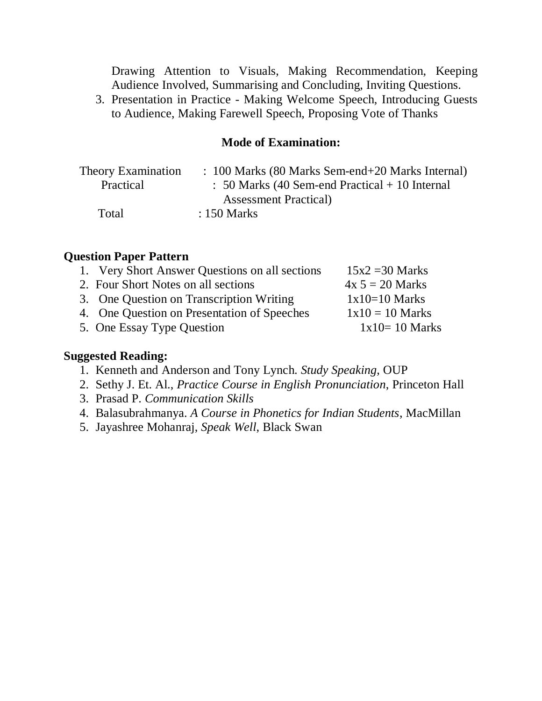Drawing Attention to Visuals, Making Recommendation, Keeping Audience Involved, Summarising and Concluding, Inviting Questions.

3. Presentation in Practice - Making Welcome Speech, Introducing Guests to Audience, Making Farewell Speech, Proposing Vote of Thanks

### **Mode of Examination:**

| Theory Examination | : 100 Marks (80 Marks Sem-end+20 Marks Internal)          |
|--------------------|-----------------------------------------------------------|
| Practical          | $\therefore$ 50 Marks (40 Sem-end Practical + 10 Internal |
|                    | <b>Assessment Practical</b>                               |
| Total              | $: 150$ Marks                                             |

### **Question Paper Pattern**

| 1. Very Short Answer Questions on all sections | $15x2 = 30$ Marks |
|------------------------------------------------|-------------------|
| 2. Four Short Notes on all sections            | $4x 5 = 20$ Marks |
| 3. One Question on Transcription Writing       | $1x10=10$ Marks   |
| 4. One Question on Presentation of Speeches    | $1x10 = 10$ Marks |
| 5. One Essay Type Question                     | $1x10=10$ Marks   |
|                                                |                   |

### **Suggested Reading:**

- 1. Kenneth and Anderson and Tony Lynch. *Study Speaking*, OUP
- 2. Sethy J. Et. Al., *Practice Course in English Pronunciation*, Princeton Hall
- 3. Prasad P. *Communication Skills*
- 4. Balasubrahmanya. *A Course in Phonetics for Indian Students*, MacMillan
- 5. Jayashree Mohanraj, *Speak Well*, Black Swan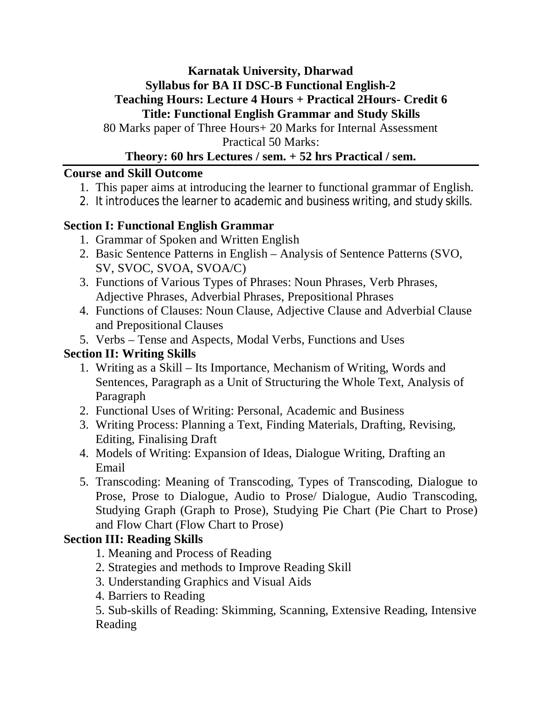## **Karnatak University, Dharwad Syllabus for BA II DSC-B Functional English-2 Teaching Hours: Lecture 4 Hours + Practical 2Hours- Credit 6 Title: Functional English Grammar and Study Skills**

80 Marks paper of Three Hours+ 20 Marks for Internal Assessment Practical 50 Marks:

## **Theory: 60 hrs Lectures / sem. + 52 hrs Practical / sem.**

## **Course and Skill Outcome**

- 1. This paper aims at introducing the learner to functional grammar of English.
- 2. It introduces the learner to academic and business writing, and study skills.

## **Section I: Functional English Grammar**

- 1. Grammar of Spoken and Written English
- 2. Basic Sentence Patterns in English Analysis of Sentence Patterns (SVO, SV, SVOC, SVOA, SVOA/C)
- 3. Functions of Various Types of Phrases: Noun Phrases, Verb Phrases, Adjective Phrases, Adverbial Phrases, Prepositional Phrases
- 4. Functions of Clauses: Noun Clause, Adjective Clause and Adverbial Clause and Prepositional Clauses
- 5. Verbs Tense and Aspects, Modal Verbs, Functions and Uses

# **Section II: Writing Skills**

- 1. Writing as a Skill Its Importance, Mechanism of Writing, Words and Sentences, Paragraph as a Unit of Structuring the Whole Text, Analysis of Paragraph
- 2. Functional Uses of Writing: Personal, Academic and Business
- 3. Writing Process: Planning a Text, Finding Materials, Drafting, Revising, Editing, Finalising Draft
- 4. Models of Writing: Expansion of Ideas, Dialogue Writing, Drafting an Email
- 5. Transcoding: Meaning of Transcoding, Types of Transcoding, Dialogue to Prose, Prose to Dialogue, Audio to Prose/ Dialogue, Audio Transcoding, Studying Graph (Graph to Prose), Studying Pie Chart (Pie Chart to Prose) and Flow Chart (Flow Chart to Prose)

## **Section III: Reading Skills**

- 1. Meaning and Process of Reading
- 2. Strategies and methods to Improve Reading Skill
- 3. Understanding Graphics and Visual Aids
- 4. Barriers to Reading

5. Sub-skills of Reading: Skimming, Scanning, Extensive Reading, Intensive Reading